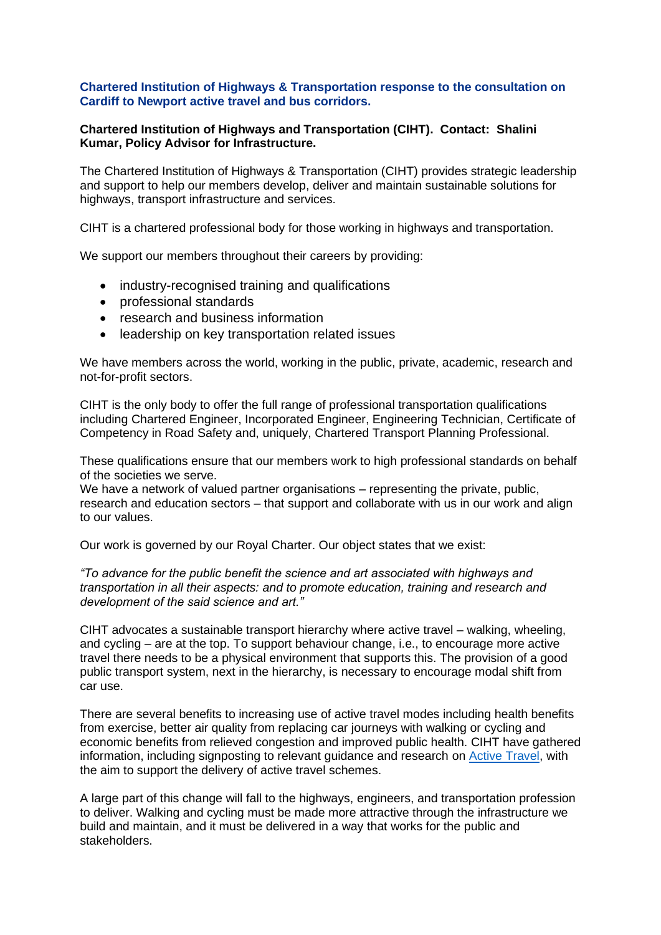## **Chartered Institution of Highways & Transportation response to the consultation on Cardiff to Newport active travel and bus corridors.**

## **Chartered Institution of Highways and Transportation (CIHT). Contact: Shalini Kumar, Policy Advisor for Infrastructure.**

The Chartered Institution of Highways & Transportation (CIHT) provides strategic leadership and support to help our members develop, deliver and maintain sustainable solutions for highways, transport infrastructure and services.

CIHT is a chartered professional body for those working in highways and transportation.

We support our members throughout their careers by providing:

- industry-recognised training and qualifications
- professional standards
- research and business information
- leadership on key transportation related issues

We have members across the world, working in the public, private, academic, research and not-for-profit sectors.

CIHT is the only body to offer the full range of professional transportation qualifications including Chartered Engineer, Incorporated Engineer, Engineering Technician, Certificate of Competency in Road Safety and, uniquely, Chartered Transport Planning Professional.

These qualifications ensure that our members work to high professional standards on behalf of the societies we serve.

We have a network of valued partner organisations – representing the private, public, research and education sectors – that support and collaborate with us in our work and align to our values.

Our work is governed by our Royal Charter. Our object states that we exist:

*"To advance for the public benefit the science and art associated with highways and transportation in all their aspects: and to promote education, training and research and development of the said science and art."*

CIHT advocates a sustainable transport hierarchy where active travel – walking, wheeling, and cycling – are at the top. To support behaviour change, i.e., to encourage more active travel there needs to be a physical environment that supports this. The provision of a good public transport system, next in the hierarchy, is necessary to encourage modal shift from car use.

There are several benefits to increasing use of active travel modes including health benefits from exercise, better air quality from replacing car journeys with walking or cycling and economic benefits from relieved congestion and improved public health. CIHT have gathered information, including signposting to relevant guidance and research on [Active Travel,](https://urldefense.com/v3/__https:/www.ciht.org.uk/knowledge-resource-centre/resources/active-travel/__;!!B5cixuoO7ltTeg!QxHVNiy4dA3aCOj2nBjJAioE-H5n3EZhmgJnw7C_UvZlTNYbKlKrdEYRuKneQAnyaQ$) with the aim to support the delivery of active travel schemes.

A large part of this change will fall to the highways, engineers, and transportation profession to deliver. Walking and cycling must be made more attractive through the infrastructure we build and maintain, and it must be delivered in a way that works for the public and stakeholders.